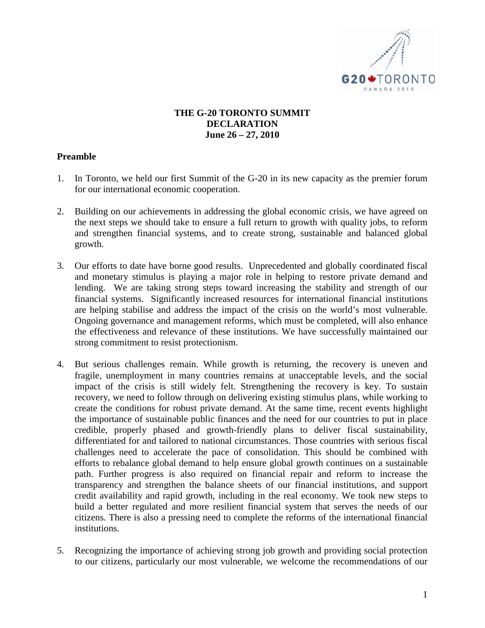

# **THE G-20 TORONTO SUMMIT DECLARATION June 26 – 27, 2010**

### **Preamble**

- 1. In Toronto, we held our first Summit of the G-20 in its new capacity as the premier forum for our international economic cooperation.
- 2. Building on our achievements in addressing the global economic crisis, we have agreed on the next steps we should take to ensure a full return to growth with quality jobs, to reform and strengthen financial systems, and to create strong, sustainable and balanced global growth.
- 3. Our efforts to date have borne good results. Unprecedented and globally coordinated fiscal and monetary stimulus is playing a major role in helping to restore private demand and lending. We are taking strong steps toward increasing the stability and strength of our financial systems. Significantly increased resources for international financial institutions are helping stabilise and address the impact of the crisis on the world's most vulnerable. Ongoing governance and management reforms, which must be completed, will also enhance the effectiveness and relevance of these institutions. We have successfully maintained our strong commitment to resist protectionism.
- 4. But serious challenges remain. While growth is returning, the recovery is uneven and fragile, unemployment in many countries remains at unacceptable levels, and the social impact of the crisis is still widely felt. Strengthening the recovery is key. To sustain recovery, we need to follow through on delivering existing stimulus plans, while working to create the conditions for robust private demand. At the same time, recent events highlight the importance of sustainable public finances and the need for our countries to put in place credible, properly phased and growth-friendly plans to deliver fiscal sustainability, differentiated for and tailored to national circumstances. Those countries with serious fiscal challenges need to accelerate the pace of consolidation. This should be combined with efforts to rebalance global demand to help ensure global growth continues on a sustainable path. Further progress is also required on financial repair and reform to increase the transparency and strengthen the balance sheets of our financial institutions, and support credit availability and rapid growth, including in the real economy. We took new steps to build a better regulated and more resilient financial system that serves the needs of our citizens. There is also a pressing need to complete the reforms of the international financial institutions.
- 5. Recognizing the importance of achieving strong job growth and providing social protection to our citizens, particularly our most vulnerable, we welcome the recommendations of our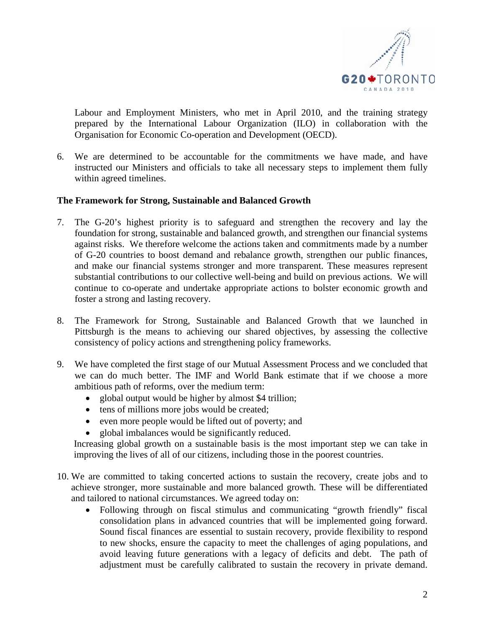

Labour and Employment Ministers, who met in April 2010, and the training strategy prepared by the International Labour Organization (ILO) in collaboration with the Organisation for Economic Co-operation and Development (OECD).

6. We are determined to be accountable for the commitments we have made, and have instructed our Ministers and officials to take all necessary steps to implement them fully within agreed timelines.

### **The Framework for Strong, Sustainable and Balanced Growth**

- 7. The G-20's highest priority is to safeguard and strengthen the recovery and lay the foundation for strong, sustainable and balanced growth, and strengthen our financial systems against risks. We therefore welcome the actions taken and commitments made by a number of G-20 countries to boost demand and rebalance growth, strengthen our public finances, and make our financial systems stronger and more transparent. These measures represent substantial contributions to our collective well-being and build on previous actions. We will continue to co-operate and undertake appropriate actions to bolster economic growth and foster a strong and lasting recovery.
- 8. The Framework for Strong, Sustainable and Balanced Growth that we launched in Pittsburgh is the means to achieving our shared objectives, by assessing the collective consistency of policy actions and strengthening policy frameworks.
- 9. We have completed the first stage of our Mutual Assessment Process and we concluded that we can do much better. The IMF and World Bank estimate that if we choose a more ambitious path of reforms, over the medium term:
	- global output would be higher by almost \$4 trillion;
	- tens of millions more jobs would be created;
	- even more people would be lifted out of poverty; and
	- global imbalances would be significantly reduced.

Increasing global growth on a sustainable basis is the most important step we can take in improving the lives of all of our citizens, including those in the poorest countries.

- 10. We are committed to taking concerted actions to sustain the recovery, create jobs and to achieve stronger, more sustainable and more balanced growth. These will be differentiated and tailored to national circumstances. We agreed today on:
	- Following through on fiscal stimulus and communicating "growth friendly" fiscal consolidation plans in advanced countries that will be implemented going forward. Sound fiscal finances are essential to sustain recovery, provide flexibility to respond to new shocks, ensure the capacity to meet the challenges of aging populations, and avoid leaving future generations with a legacy of deficits and debt. The path of adjustment must be carefully calibrated to sustain the recovery in private demand.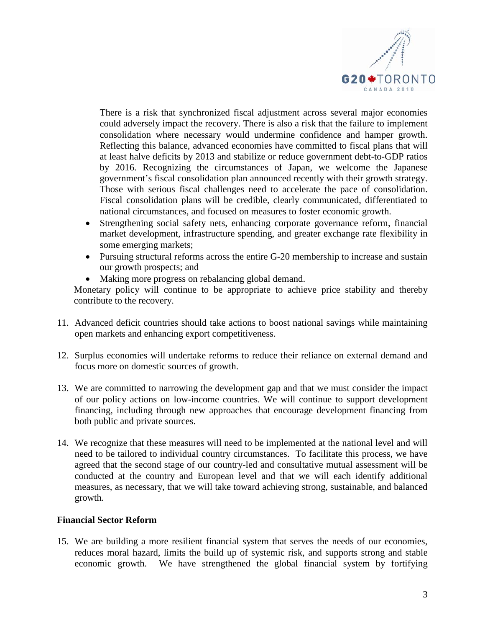

There is a risk that synchronized fiscal adjustment across several major economies could adversely impact the recovery. There is also a risk that the failure to implement consolidation where necessary would undermine confidence and hamper growth. Reflecting this balance, advanced economies have committed to fiscal plans that will at least halve deficits by 2013 and stabilize or reduce government debt-to-GDP ratios by 2016. Recognizing the circumstances of Japan, we welcome the Japanese government's fiscal consolidation plan announced recently with their growth strategy. Those with serious fiscal challenges need to accelerate the pace of consolidation. Fiscal consolidation plans will be credible, clearly communicated, differentiated to national circumstances, and focused on measures to foster economic growth.

- Strengthening social safety nets, enhancing corporate governance reform, financial market development, infrastructure spending, and greater exchange rate flexibility in some emerging markets;
- Pursuing structural reforms across the entire G-20 membership to increase and sustain our growth prospects; and
- Making more progress on rebalancing global demand.

Monetary policy will continue to be appropriate to achieve price stability and thereby contribute to the recovery.

- 11. Advanced deficit countries should take actions to boost national savings while maintaining open markets and enhancing export competitiveness.
- 12. Surplus economies will undertake reforms to reduce their reliance on external demand and focus more on domestic sources of growth.
- 13. We are committed to narrowing the development gap and that we must consider the impact of our policy actions on low-income countries. We will continue to support development financing, including through new approaches that encourage development financing from both public and private sources.
- 14. We recognize that these measures will need to be implemented at the national level and will need to be tailored to individual country circumstances. To facilitate this process, we have agreed that the second stage of our country-led and consultative mutual assessment will be conducted at the country and European level and that we will each identify additional measures, as necessary, that we will take toward achieving strong, sustainable, and balanced growth.

# **Financial Sector Reform**

15. We are building a more resilient financial system that serves the needs of our economies, reduces moral hazard, limits the build up of systemic risk, and supports strong and stable economic growth. We have strengthened the global financial system by fortifying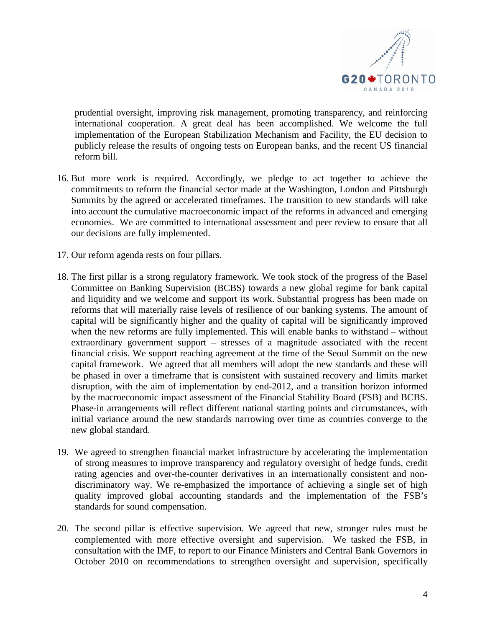

prudential oversight, improving risk management, promoting transparency, and reinforcing international cooperation. A great deal has been accomplished. We welcome the full implementation of the European Stabilization Mechanism and Facility, the EU decision to publicly release the results of ongoing tests on European banks, and the recent US financial reform bill.

- 16. But more work is required. Accordingly, we pledge to act together to achieve the commitments to reform the financial sector made at the Washington, London and Pittsburgh Summits by the agreed or accelerated timeframes. The transition to new standards will take into account the cumulative macroeconomic impact of the reforms in advanced and emerging economies. We are committed to international assessment and peer review to ensure that all our decisions are fully implemented.
- 17. Our reform agenda rests on four pillars.
- 18. The first pillar is a strong regulatory framework. We took stock of the progress of the Basel Committee on Banking Supervision (BCBS) towards a new global regime for bank capital and liquidity and we welcome and support its work. Substantial progress has been made on reforms that will materially raise levels of resilience of our banking systems. The amount of capital will be significantly higher and the quality of capital will be significantly improved when the new reforms are fully implemented. This will enable banks to withstand – without extraordinary government support – stresses of a magnitude associated with the recent financial crisis. We support reaching agreement at the time of the Seoul Summit on the new capital framework. We agreed that all members will adopt the new standards and these will be phased in over a timeframe that is consistent with sustained recovery and limits market disruption, with the aim of implementation by end-2012, and a transition horizon informed by the macroeconomic impact assessment of the Financial Stability Board (FSB) and BCBS. Phase-in arrangements will reflect different national starting points and circumstances, with initial variance around the new standards narrowing over time as countries converge to the new global standard.
- 19. We agreed to strengthen financial market infrastructure by accelerating the implementation of strong measures to improve transparency and regulatory oversight of hedge funds, credit rating agencies and over-the-counter derivatives in an internationally consistent and nondiscriminatory way. We re-emphasized the importance of achieving a single set of high quality improved global accounting standards and the implementation of the FSB's standards for sound compensation.
- 20. The second pillar is effective supervision. We agreed that new, stronger rules must be complemented with more effective oversight and supervision. We tasked the FSB, in consultation with the IMF, to report to our Finance Ministers and Central Bank Governors in October 2010 on recommendations to strengthen oversight and supervision, specifically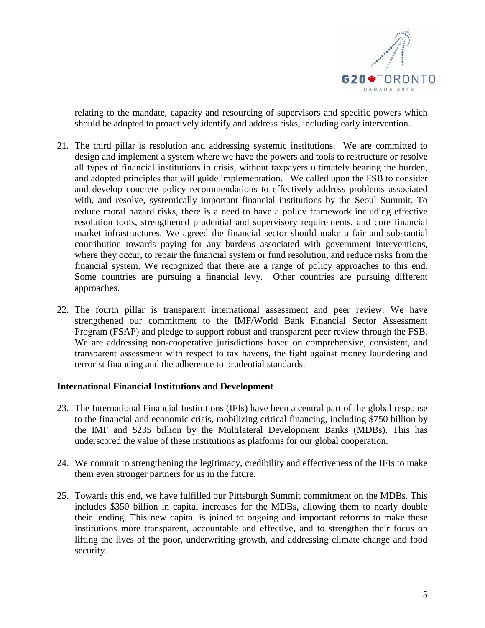

relating to the mandate, capacity and resourcing of supervisors and specific powers which should be adopted to proactively identify and address risks, including early intervention.

- 21. The third pillar is resolution and addressing systemic institutions. We are committed to design and implement a system where we have the powers and tools to restructure or resolve all types of financial institutions in crisis, without taxpayers ultimately bearing the burden, and adopted principles that will guide implementation. We called upon the FSB to consider and develop concrete policy recommendations to effectively address problems associated with, and resolve, systemically important financial institutions by the Seoul Summit. To reduce moral hazard risks, there is a need to have a policy framework including effective resolution tools, strengthened prudential and supervisory requirements, and core financial market infrastructures. We agreed the financial sector should make a fair and substantial contribution towards paying for any burdens associated with government interventions, where they occur, to repair the financial system or fund resolution, and reduce risks from the financial system. We recognized that there are a range of policy approaches to this end. Some countries are pursuing a financial levy. Other countries are pursuing different approaches.
- 22. The fourth pillar is transparent international assessment and peer review. We have strengthened our commitment to the IMF/World Bank Financial Sector Assessment Program (FSAP) and pledge to support robust and transparent peer review through the FSB. We are addressing non-cooperative jurisdictions based on comprehensive, consistent, and transparent assessment with respect to tax havens, the fight against money laundering and terrorist financing and the adherence to prudential standards.

### **International Financial Institutions and Development**

- 23. The International Financial Institutions (IFIs) have been a central part of the global response to the financial and economic crisis, mobilizing critical financing, including \$750 billion by the IMF and \$235 billion by the Multilateral Development Banks (MDBs). This has underscored the value of these institutions as platforms for our global cooperation.
- 24. We commit to strengthening the legitimacy, credibility and effectiveness of the IFIs to make them even stronger partners for us in the future.
- 25. Towards this end, we have fulfilled our Pittsburgh Summit commitment on the MDBs. This includes \$350 billion in capital increases for the MDBs, allowing them to nearly double their lending. This new capital is joined to ongoing and important reforms to make these institutions more transparent, accountable and effective, and to strengthen their focus on lifting the lives of the poor, underwriting growth, and addressing climate change and food security.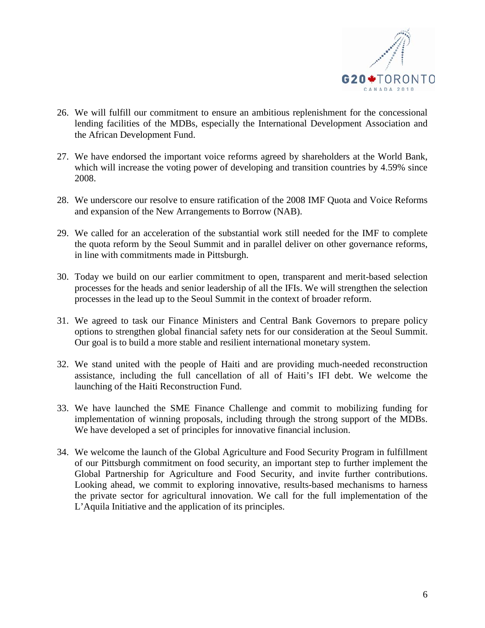

- 26. We will fulfill our commitment to ensure an ambitious replenishment for the concessional lending facilities of the MDBs, especially the International Development Association and the African Development Fund.
- 27. We have endorsed the important voice reforms agreed by shareholders at the World Bank, which will increase the voting power of developing and transition countries by 4.59% since 2008.
- 28. We underscore our resolve to ensure ratification of the 2008 IMF Quota and Voice Reforms and expansion of the New Arrangements to Borrow (NAB).
- 29. We called for an acceleration of the substantial work still needed for the IMF to complete the quota reform by the Seoul Summit and in parallel deliver on other governance reforms, in line with commitments made in Pittsburgh.
- 30. Today we build on our earlier commitment to open, transparent and merit-based selection processes for the heads and senior leadership of all the IFIs. We will strengthen the selection processes in the lead up to the Seoul Summit in the context of broader reform.
- 31. We agreed to task our Finance Ministers and Central Bank Governors to prepare policy options to strengthen global financial safety nets for our consideration at the Seoul Summit. Our goal is to build a more stable and resilient international monetary system.
- 32. We stand united with the people of Haiti and are providing much-needed reconstruction assistance, including the full cancellation of all of Haiti's IFI debt. We welcome the launching of the Haiti Reconstruction Fund.
- 33. We have launched the SME Finance Challenge and commit to mobilizing funding for implementation of winning proposals, including through the strong support of the MDBs. We have developed a set of principles for innovative financial inclusion.
- 34. We welcome the launch of the Global Agriculture and Food Security Program in fulfillment of our Pittsburgh commitment on food security, an important step to further implement the Global Partnership for Agriculture and Food Security, and invite further contributions. Looking ahead, we commit to exploring innovative, results-based mechanisms to harness the private sector for agricultural innovation. We call for the full implementation of the L'Aquila Initiative and the application of its principles.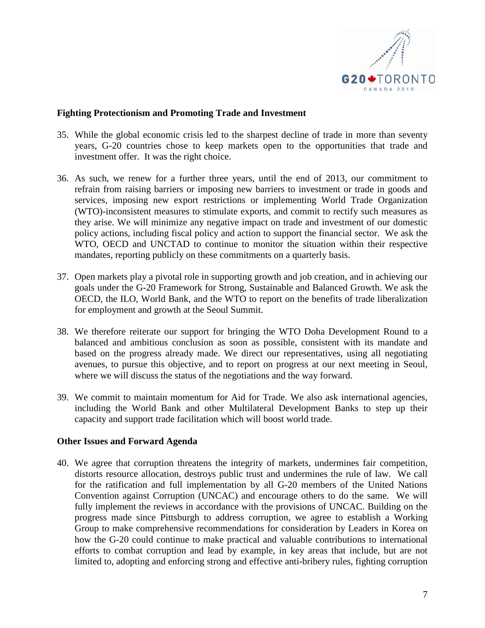

## **Fighting Protectionism and Promoting Trade and Investment**

- 35. While the global economic crisis led to the sharpest decline of trade in more than seventy years, G-20 countries chose to keep markets open to the opportunities that trade and investment offer. It was the right choice.
- 36. As such, we renew for a further three years, until the end of 2013, our commitment to refrain from raising barriers or imposing new barriers to investment or trade in goods and services, imposing new export restrictions or implementing World Trade Organization (WTO)-inconsistent measures to stimulate exports, and commit to rectify such measures as they arise. We will minimize any negative impact on trade and investment of our domestic policy actions, including fiscal policy and action to support the financial sector. We ask the WTO, OECD and UNCTAD to continue to monitor the situation within their respective mandates, reporting publicly on these commitments on a quarterly basis.
- 37. Open markets play a pivotal role in supporting growth and job creation, and in achieving our goals under the G-20 Framework for Strong, Sustainable and Balanced Growth. We ask the OECD, the ILO, World Bank, and the WTO to report on the benefits of trade liberalization for employment and growth at the Seoul Summit.
- 38. We therefore reiterate our support for bringing the WTO Doha Development Round to a balanced and ambitious conclusion as soon as possible, consistent with its mandate and based on the progress already made. We direct our representatives, using all negotiating avenues, to pursue this objective, and to report on progress at our next meeting in Seoul, where we will discuss the status of the negotiations and the way forward.
- 39. We commit to maintain momentum for Aid for Trade. We also ask international agencies, including the World Bank and other Multilateral Development Banks to step up their capacity and support trade facilitation which will boost world trade.

### **Other Issues and Forward Agenda**

40. We agree that corruption threatens the integrity of markets, undermines fair competition, distorts resource allocation, destroys public trust and undermines the rule of law. We call for the ratification and full implementation by all G-20 members of the United Nations Convention against Corruption (UNCAC) and encourage others to do the same. We will fully implement the reviews in accordance with the provisions of UNCAC. Building on the progress made since Pittsburgh to address corruption, we agree to establish a Working Group to make comprehensive recommendations for consideration by Leaders in Korea on how the G-20 could continue to make practical and valuable contributions to international efforts to combat corruption and lead by example, in key areas that include, but are not limited to, adopting and enforcing strong and effective anti-bribery rules, fighting corruption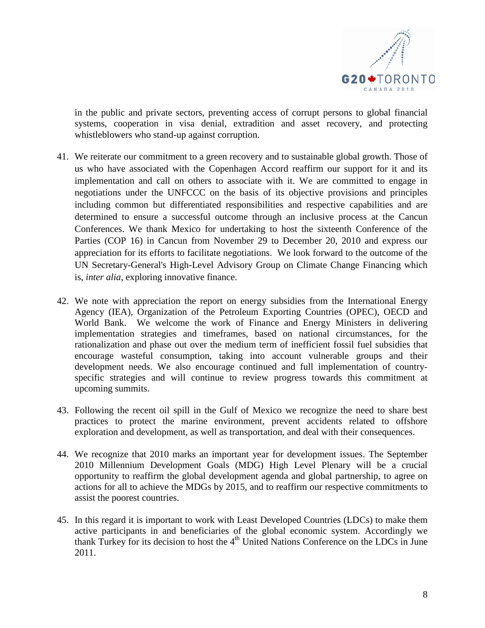

in the public and private sectors, preventing access of corrupt persons to global financial systems, cooperation in visa denial, extradition and asset recovery, and protecting whistleblowers who stand-up against corruption.

- 41. We reiterate our commitment to a green recovery and to sustainable global growth. Those of us who have associated with the Copenhagen Accord reaffirm our support for it and its implementation and call on others to associate with it. We are committed to engage in negotiations under the UNFCCC on the basis of its objective provisions and principles including common but differentiated responsibilities and respective capabilities and are determined to ensure a successful outcome through an inclusive process at the Cancun Conferences. We thank Mexico for undertaking to host the sixteenth Conference of the Parties (COP 16) in Cancun from November 29 to December 20, 2010 and express our appreciation for its efforts to facilitate negotiations. We look forward to the outcome of the UN Secretary-General's High-Level Advisory Group on Climate Change Financing which is, *inter alia*, exploring innovative finance.
- 42. We note with appreciation the report on energy subsidies from the International Energy Agency (IEA), Organization of the Petroleum Exporting Countries (OPEC), OECD and World Bank. We welcome the work of Finance and Energy Ministers in delivering implementation strategies and timeframes, based on national circumstances, for the rationalization and phase out over the medium term of inefficient fossil fuel subsidies that encourage wasteful consumption, taking into account vulnerable groups and their development needs. We also encourage continued and full implementation of countryspecific strategies and will continue to review progress towards this commitment at upcoming summits.
- 43. Following the recent oil spill in the Gulf of Mexico we recognize the need to share best practices to protect the marine environment, prevent accidents related to offshore exploration and development, as well as transportation, and deal with their consequences.
- 44. We recognize that 2010 marks an important year for development issues. The September 2010 Millennium Development Goals (MDG) High Level Plenary will be a crucial opportunity to reaffirm the global development agenda and global partnership, to agree on actions for all to achieve the MDGs by 2015, and to reaffirm our respective commitments to assist the poorest countries.
- 45. In this regard it is important to work with Least Developed Countries (LDCs) to make them active participants in and beneficiaries of the global economic system. Accordingly we thank Turkey for its decision to host the  $4<sup>th</sup>$  United Nations Conference on the LDCs in June 2011.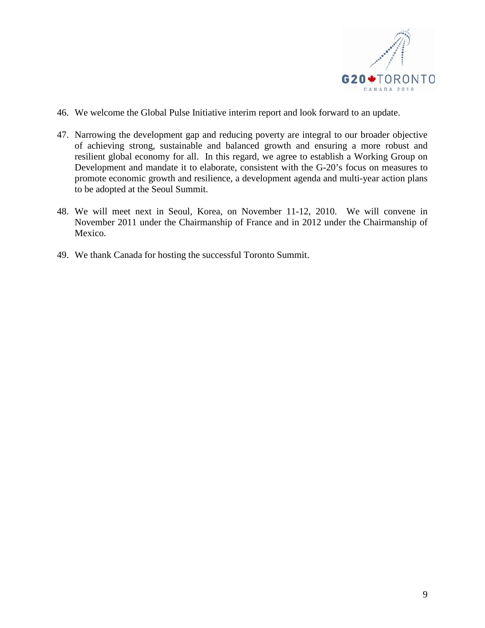

- 46. We welcome the Global Pulse Initiative interim report and look forward to an update.
- 47. Narrowing the development gap and reducing poverty are integral to our broader objective of achieving strong, sustainable and balanced growth and ensuring a more robust and resilient global economy for all. In this regard, we agree to establish a Working Group on Development and mandate it to elaborate, consistent with the G-20's focus on measures to promote economic growth and resilience, a development agenda and multi-year action plans to be adopted at the Seoul Summit.
- 48. We will meet next in Seoul, Korea, on November 11-12, 2010. We will convene in November 2011 under the Chairmanship of France and in 2012 under the Chairmanship of Mexico.
- 49. We thank Canada for hosting the successful Toronto Summit.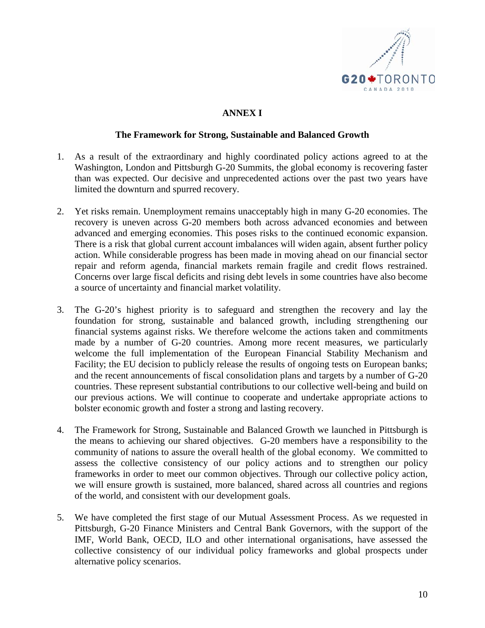

## **ANNEX I**

#### **The Framework for Strong, Sustainable and Balanced Growth**

- 1. As a result of the extraordinary and highly coordinated policy actions agreed to at the Washington, London and Pittsburgh G-20 Summits, the global economy is recovering faster than was expected. Our decisive and unprecedented actions over the past two years have limited the downturn and spurred recovery.
- 2. Yet risks remain. Unemployment remains unacceptably high in many G-20 economies. The recovery is uneven across G-20 members both across advanced economies and between advanced and emerging economies. This poses risks to the continued economic expansion. There is a risk that global current account imbalances will widen again, absent further policy action. While considerable progress has been made in moving ahead on our financial sector repair and reform agenda, financial markets remain fragile and credit flows restrained. Concerns over large fiscal deficits and rising debt levels in some countries have also become a source of uncertainty and financial market volatility.
- 3. The G-20's highest priority is to safeguard and strengthen the recovery and lay the foundation for strong, sustainable and balanced growth, including strengthening our financial systems against risks. We therefore welcome the actions taken and commitments made by a number of G-20 countries. Among more recent measures, we particularly welcome the full implementation of the European Financial Stability Mechanism and Facility; the EU decision to publicly release the results of ongoing tests on European banks; and the recent announcements of fiscal consolidation plans and targets by a number of G-20 countries. These represent substantial contributions to our collective well-being and build on our previous actions. We will continue to cooperate and undertake appropriate actions to bolster economic growth and foster a strong and lasting recovery.
- 4. The Framework for Strong, Sustainable and Balanced Growth we launched in Pittsburgh is the means to achieving our shared objectives. G-20 members have a responsibility to the community of nations to assure the overall health of the global economy. We committed to assess the collective consistency of our policy actions and to strengthen our policy frameworks in order to meet our common objectives. Through our collective policy action, we will ensure growth is sustained, more balanced, shared across all countries and regions of the world, and consistent with our development goals.
- 5. We have completed the first stage of our Mutual Assessment Process. As we requested in Pittsburgh, G-20 Finance Ministers and Central Bank Governors, with the support of the IMF, World Bank, OECD, ILO and other international organisations, have assessed the collective consistency of our individual policy frameworks and global prospects under alternative policy scenarios.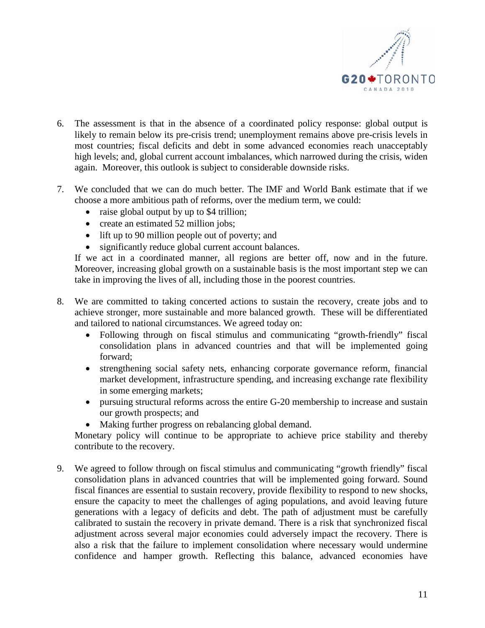

- 6. The assessment is that in the absence of a coordinated policy response: global output is likely to remain below its pre-crisis trend; unemployment remains above pre-crisis levels in most countries; fiscal deficits and debt in some advanced economies reach unacceptably high levels; and, global current account imbalances, which narrowed during the crisis, widen again. Moreover, this outlook is subject to considerable downside risks.
- 7. We concluded that we can do much better. The IMF and World Bank estimate that if we choose a more ambitious path of reforms, over the medium term, we could:
	- raise global output by up to \$4 trillion;
	- create an estimated 52 million jobs;
	- lift up to 90 million people out of poverty; and
	- significantly reduce global current account balances.

If we act in a coordinated manner, all regions are better off, now and in the future. Moreover, increasing global growth on a sustainable basis is the most important step we can take in improving the lives of all, including those in the poorest countries.

- 8. We are committed to taking concerted actions to sustain the recovery, create jobs and to achieve stronger, more sustainable and more balanced growth. These will be differentiated and tailored to national circumstances. We agreed today on:
	- Following through on fiscal stimulus and communicating "growth-friendly" fiscal consolidation plans in advanced countries and that will be implemented going forward;
	- strengthening social safety nets, enhancing corporate governance reform, financial market development, infrastructure spending, and increasing exchange rate flexibility in some emerging markets;
	- pursuing structural reforms across the entire G-20 membership to increase and sustain our growth prospects; and
	- Making further progress on rebalancing global demand.

Monetary policy will continue to be appropriate to achieve price stability and thereby contribute to the recovery.

9. We agreed to follow through on fiscal stimulus and communicating "growth friendly" fiscal consolidation plans in advanced countries that will be implemented going forward. Sound fiscal finances are essential to sustain recovery, provide flexibility to respond to new shocks, ensure the capacity to meet the challenges of aging populations, and avoid leaving future generations with a legacy of deficits and debt. The path of adjustment must be carefully calibrated to sustain the recovery in private demand. There is a risk that synchronized fiscal adjustment across several major economies could adversely impact the recovery. There is also a risk that the failure to implement consolidation where necessary would undermine confidence and hamper growth. Reflecting this balance, advanced economies have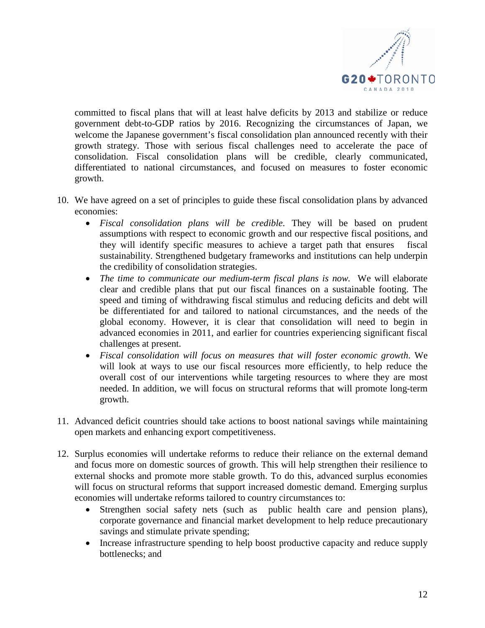

committed to fiscal plans that will at least halve deficits by 2013 and stabilize or reduce government debt-to-GDP ratios by 2016. Recognizing the circumstances of Japan, we welcome the Japanese government's fiscal consolidation plan announced recently with their growth strategy. Those with serious fiscal challenges need to accelerate the pace of consolidation. Fiscal consolidation plans will be credible, clearly communicated, differentiated to national circumstances, and focused on measures to foster economic growth.

- 10. We have agreed on a set of principles to guide these fiscal consolidation plans by advanced economies:
	- *Fiscal consolidation plans will be credible*. They will be based on prudent assumptions with respect to economic growth and our respective fiscal positions, and they will identify specific measures to achieve a target path that ensures fiscal sustainability. Strengthened budgetary frameworks and institutions can help underpin the credibility of consolidation strategies.
	- *The time to communicate our medium-term fiscal plans is now.* We will elaborate clear and credible plans that put our fiscal finances on a sustainable footing. The speed and timing of withdrawing fiscal stimulus and reducing deficits and debt will be differentiated for and tailored to national circumstances, and the needs of the global economy. However, it is clear that consolidation will need to begin in advanced economies in 2011, and earlier for countries experiencing significant fiscal challenges at present.
	- *Fiscal consolidation will focus on measures that will foster economic growth*. We will look at ways to use our fiscal resources more efficiently, to help reduce the overall cost of our interventions while targeting resources to where they are most needed. In addition, we will focus on structural reforms that will promote long-term growth.
- 11. Advanced deficit countries should take actions to boost national savings while maintaining open markets and enhancing export competitiveness.
- 12. Surplus economies will undertake reforms to reduce their reliance on the external demand and focus more on domestic sources of growth. This will help strengthen their resilience to external shocks and promote more stable growth. To do this, advanced surplus economies will focus on structural reforms that support increased domestic demand. Emerging surplus economies will undertake reforms tailored to country circumstances to:
	- Strengthen social safety nets (such as public health care and pension plans), corporate governance and financial market development to help reduce precautionary savings and stimulate private spending;
	- Increase infrastructure spending to help boost productive capacity and reduce supply bottlenecks; and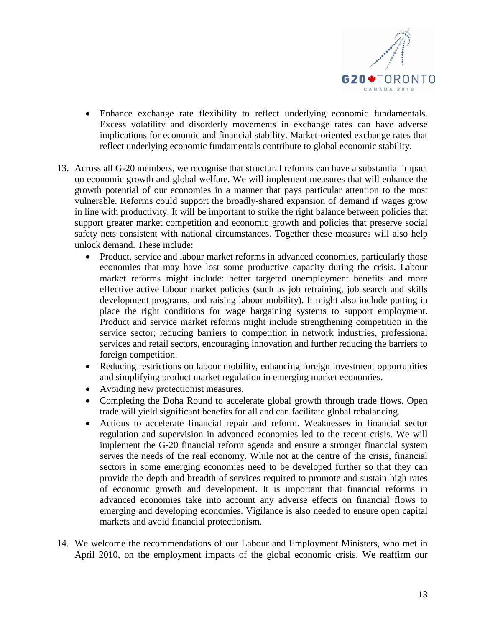

- Enhance exchange rate flexibility to reflect underlying economic fundamentals. Excess volatility and disorderly movements in exchange rates can have adverse implications for economic and financial stability. Market-oriented exchange rates that reflect underlying economic fundamentals contribute to global economic stability.
- 13. Across all G-20 members, we recognise that structural reforms can have a substantial impact on economic growth and global welfare. We will implement measures that will enhance the growth potential of our economies in a manner that pays particular attention to the most vulnerable. Reforms could support the broadly-shared expansion of demand if wages grow in line with productivity. It will be important to strike the right balance between policies that support greater market competition and economic growth and policies that preserve social safety nets consistent with national circumstances. Together these measures will also help unlock demand. These include:
	- Product, service and labour market reforms in advanced economies, particularly those economies that may have lost some productive capacity during the crisis. Labour market reforms might include: better targeted unemployment benefits and more effective active labour market policies (such as job retraining, job search and skills development programs, and raising labour mobility). It might also include putting in place the right conditions for wage bargaining systems to support employment. Product and service market reforms might include strengthening competition in the service sector; reducing barriers to competition in network industries, professional services and retail sectors, encouraging innovation and further reducing the barriers to foreign competition.
	- Reducing restrictions on labour mobility, enhancing foreign investment opportunities and simplifying product market regulation in emerging market economies.
	- Avoiding new protectionist measures.
	- Completing the Doha Round to accelerate global growth through trade flows. Open trade will yield significant benefits for all and can facilitate global rebalancing.
	- Actions to accelerate financial repair and reform. Weaknesses in financial sector regulation and supervision in advanced economies led to the recent crisis. We will implement the G-20 financial reform agenda and ensure a stronger financial system serves the needs of the real economy. While not at the centre of the crisis, financial sectors in some emerging economies need to be developed further so that they can provide the depth and breadth of services required to promote and sustain high rates of economic growth and development. It is important that financial reforms in advanced economies take into account any adverse effects on financial flows to emerging and developing economies. Vigilance is also needed to ensure open capital markets and avoid financial protectionism.
- 14. We welcome the recommendations of our Labour and Employment Ministers, who met in April 2010, on the employment impacts of the global economic crisis. We reaffirm our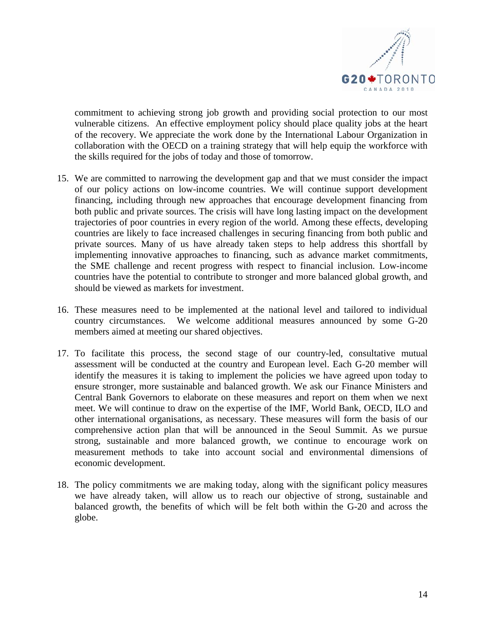

commitment to achieving strong job growth and providing social protection to our most vulnerable citizens. An effective employment policy should place quality jobs at the heart of the recovery. We appreciate the work done by the International Labour Organization in collaboration with the OECD on a training strategy that will help equip the workforce with the skills required for the jobs of today and those of tomorrow.

- 15. We are committed to narrowing the development gap and that we must consider the impact of our policy actions on low-income countries. We will continue support development financing, including through new approaches that encourage development financing from both public and private sources. The crisis will have long lasting impact on the development trajectories of poor countries in every region of the world. Among these effects, developing countries are likely to face increased challenges in securing financing from both public and private sources. Many of us have already taken steps to help address this shortfall by implementing innovative approaches to financing, such as advance market commitments, the SME challenge and recent progress with respect to financial inclusion. Low-income countries have the potential to contribute to stronger and more balanced global growth, and should be viewed as markets for investment.
- 16. These measures need to be implemented at the national level and tailored to individual country circumstances. We welcome additional measures announced by some G-20 members aimed at meeting our shared objectives.
- 17. To facilitate this process, the second stage of our country-led, consultative mutual assessment will be conducted at the country and European level. Each G-20 member will identify the measures it is taking to implement the policies we have agreed upon today to ensure stronger, more sustainable and balanced growth. We ask our Finance Ministers and Central Bank Governors to elaborate on these measures and report on them when we next meet. We will continue to draw on the expertise of the IMF, World Bank, OECD, ILO and other international organisations, as necessary. These measures will form the basis of our comprehensive action plan that will be announced in the Seoul Summit. As we pursue strong, sustainable and more balanced growth, we continue to encourage work on measurement methods to take into account social and environmental dimensions of economic development.
- 18. The policy commitments we are making today, along with the significant policy measures we have already taken, will allow us to reach our objective of strong, sustainable and balanced growth, the benefits of which will be felt both within the G-20 and across the globe.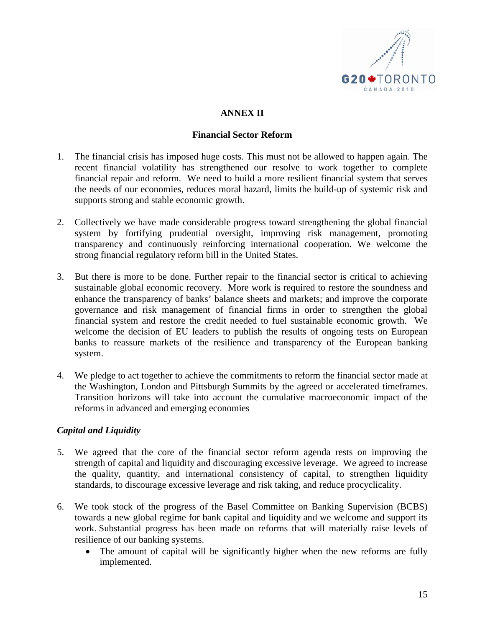

### **ANNEX II**

### **Financial Sector Reform**

- 1. The financial crisis has imposed huge costs. This must not be allowed to happen again. The recent financial volatility has strengthened our resolve to work together to complete financial repair and reform. We need to build a more resilient financial system that serves the needs of our economies, reduces moral hazard, limits the build-up of systemic risk and supports strong and stable economic growth.
- 2. Collectively we have made considerable progress toward strengthening the global financial system by fortifying prudential oversight, improving risk management, promoting transparency and continuously reinforcing international cooperation. We welcome the strong financial regulatory reform bill in the United States.
- 3. But there is more to be done. Further repair to the financial sector is critical to achieving sustainable global economic recovery. More work is required to restore the soundness and enhance the transparency of banks' balance sheets and markets; and improve the corporate governance and risk management of financial firms in order to strengthen the global financial system and restore the credit needed to fuel sustainable economic growth. We welcome the decision of EU leaders to publish the results of ongoing tests on European banks to reassure markets of the resilience and transparency of the European banking system.
- 4. We pledge to act together to achieve the commitments to reform the financial sector made at the Washington, London and Pittsburgh Summits by the agreed or accelerated timeframes. Transition horizons will take into account the cumulative macroeconomic impact of the reforms in advanced and emerging economies

# *Capital and Liquidity*

- 5. We agreed that the core of the financial sector reform agenda rests on improving the strength of capital and liquidity and discouraging excessive leverage. We agreed to increase the quality, quantity, and international consistency of capital, to strengthen liquidity standards, to discourage excessive leverage and risk taking, and reduce procyclicality.
- 6. We took stock of the progress of the Basel Committee on Banking Supervision (BCBS) towards a new global regime for bank capital and liquidity and we welcome and support its work. Substantial progress has been made on reforms that will materially raise levels of resilience of our banking systems.
	- The amount of capital will be significantly higher when the new reforms are fully implemented.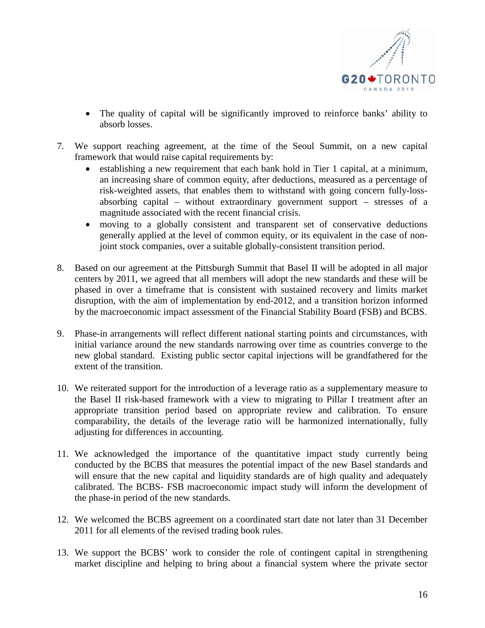

- The quality of capital will be significantly improved to reinforce banks' ability to absorb losses.
- 7. We support reaching agreement, at the time of the Seoul Summit, on a new capital framework that would raise capital requirements by:
	- establishing a new requirement that each bank hold in Tier 1 capital, at a minimum, an increasing share of common equity, after deductions, measured as a percentage of risk-weighted assets, that enables them to withstand with going concern fully-lossabsorbing capital – without extraordinary government support – stresses of a magnitude associated with the recent financial crisis.
	- moving to a globally consistent and transparent set of conservative deductions generally applied at the level of common equity, or its equivalent in the case of nonjoint stock companies, over a suitable globally-consistent transition period.
- 8. Based on our agreement at the Pittsburgh Summit that Basel II will be adopted in all major centers by 2011, we agreed that all members will adopt the new standards and these will be phased in over a timeframe that is consistent with sustained recovery and limits market disruption, with the aim of implementation by end-2012, and a transition horizon informed by the macroeconomic impact assessment of the Financial Stability Board (FSB) and BCBS.
- 9. Phase-in arrangements will reflect different national starting points and circumstances, with initial variance around the new standards narrowing over time as countries converge to the new global standard. Existing public sector capital injections will be grandfathered for the extent of the transition.
- 10. We reiterated support for the introduction of a leverage ratio as a supplementary measure to the Basel II risk-based framework with a view to migrating to Pillar I treatment after an appropriate transition period based on appropriate review and calibration. To ensure comparability, the details of the leverage ratio will be harmonized internationally, fully adjusting for differences in accounting.
- 11. We acknowledged the importance of the quantitative impact study currently being conducted by the BCBS that measures the potential impact of the new Basel standards and will ensure that the new capital and liquidity standards are of high quality and adequately calibrated. The BCBS- FSB macroeconomic impact study will inform the development of the phase-in period of the new standards.
- 12. We welcomed the BCBS agreement on a coordinated start date not later than 31 December 2011 for all elements of the revised trading book rules.
- 13. We support the BCBS' work to consider the role of contingent capital in strengthening market discipline and helping to bring about a financial system where the private sector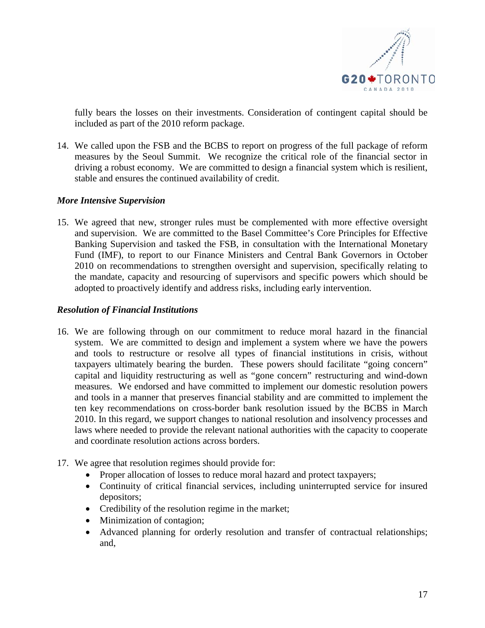

fully bears the losses on their investments. Consideration of contingent capital should be included as part of the 2010 reform package.

14. We called upon the FSB and the BCBS to report on progress of the full package of reform measures by the Seoul Summit. We recognize the critical role of the financial sector in driving a robust economy. We are committed to design a financial system which is resilient, stable and ensures the continued availability of credit.

#### *More Intensive Supervision*

15. We agreed that new, stronger rules must be complemented with more effective oversight and supervision. We are committed to the Basel Committee's Core Principles for Effective Banking Supervision and tasked the FSB, in consultation with the International Monetary Fund (IMF), to report to our Finance Ministers and Central Bank Governors in October 2010 on recommendations to strengthen oversight and supervision, specifically relating to the mandate, capacity and resourcing of supervisors and specific powers which should be adopted to proactively identify and address risks, including early intervention.

#### *Resolution of Financial Institutions*

- 16. We are following through on our commitment to reduce moral hazard in the financial system. We are committed to design and implement a system where we have the powers and tools to restructure or resolve all types of financial institutions in crisis, without taxpayers ultimately bearing the burden. These powers should facilitate "going concern" capital and liquidity restructuring as well as "gone concern" restructuring and wind-down measures. We endorsed and have committed to implement our domestic resolution powers and tools in a manner that preserves financial stability and are committed to implement the ten key recommendations on cross-border bank resolution issued by the BCBS in March 2010. In this regard, we support changes to national resolution and insolvency processes and laws where needed to provide the relevant national authorities with the capacity to cooperate and coordinate resolution actions across borders.
- 17. We agree that resolution regimes should provide for:
	- Proper allocation of losses to reduce moral hazard and protect taxpayers;
	- Continuity of critical financial services, including uninterrupted service for insured depositors;
	- Credibility of the resolution regime in the market;
	- Minimization of contagion;
	- Advanced planning for orderly resolution and transfer of contractual relationships; and,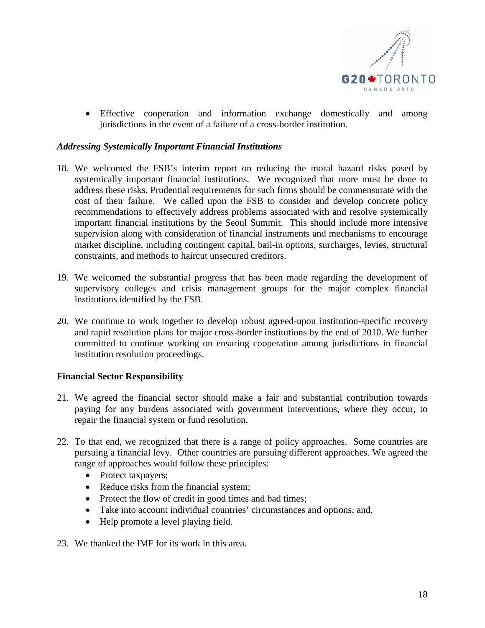

• Effective cooperation and information exchange domestically and among jurisdictions in the event of a failure of a cross-border institution.

### *Addressing Systemically Important Financial Institutions*

- 18. We welcomed the FSB's interim report on reducing the moral hazard risks posed by systemically important financial institutions. We recognized that more must be done to address these risks. Prudential requirements for such firms should be commensurate with the cost of their failure. We called upon the FSB to consider and develop concrete policy recommendations to effectively address problems associated with and resolve systemically important financial institutions by the Seoul Summit. This should include more intensive supervision along with consideration of financial instruments and mechanisms to encourage market discipline, including contingent capital, bail-in options, surcharges, levies, structural constraints, and methods to haircut unsecured creditors.
- 19. We welcomed the substantial progress that has been made regarding the development of supervisory colleges and crisis management groups for the major complex financial institutions identified by the FSB.
- 20. We continue to work together to develop robust agreed-upon institution-specific recovery and rapid resolution plans for major cross-border institutions by the end of 2010. We further committed to continue working on ensuring cooperation among jurisdictions in financial institution resolution proceedings.

### **Financial Sector Responsibility**

- 21. We agreed the financial sector should make a fair and substantial contribution towards paying for any burdens associated with government interventions, where they occur, to repair the financial system or fund resolution.
- 22. To that end, we recognized that there is a range of policy approaches. Some countries are pursuing a financial levy. Other countries are pursuing different approaches. We agreed the range of approaches would follow these principles:
	- Protect taxpayers;
	- Reduce risks from the financial system;
	- Protect the flow of credit in good times and bad times;
	- Take into account individual countries' circumstances and options; and,
	- Help promote a level playing field.
- 23. We thanked the IMF for its work in this area.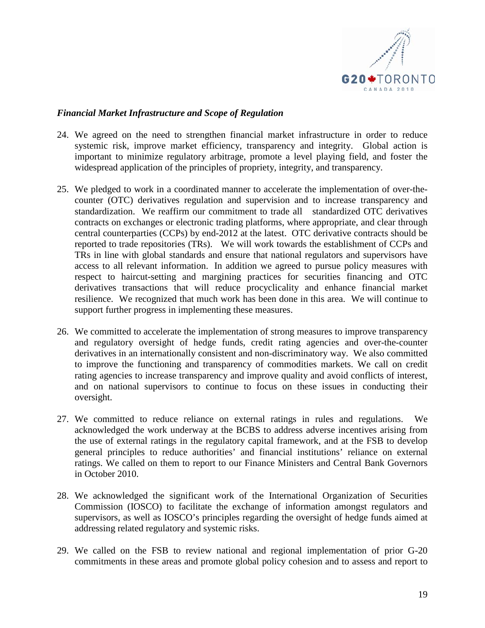

## *Financial Market Infrastructure and Scope of Regulation*

- 24. We agreed on the need to strengthen financial market infrastructure in order to reduce systemic risk, improve market efficiency, transparency and integrity. Global action is important to minimize regulatory arbitrage, promote a level playing field, and foster the widespread application of the principles of propriety, integrity, and transparency.
- 25. We pledged to work in a coordinated manner to accelerate the implementation of over-thecounter (OTC) derivatives regulation and supervision and to increase transparency and standardization. We reaffirm our commitment to trade all standardized OTC derivatives contracts on exchanges or electronic trading platforms, where appropriate, and clear through central counterparties (CCPs) by end-2012 at the latest. OTC derivative contracts should be reported to trade repositories (TRs). We will work towards the establishment of CCPs and TRs in line with global standards and ensure that national regulators and supervisors have access to all relevant information. In addition we agreed to pursue policy measures with respect to haircut-setting and margining practices for securities financing and OTC derivatives transactions that will reduce procyclicality and enhance financial market resilience. We recognized that much work has been done in this area. We will continue to support further progress in implementing these measures.
- 26. We committed to accelerate the implementation of strong measures to improve transparency and regulatory oversight of hedge funds, credit rating agencies and over-the-counter derivatives in an internationally consistent and non-discriminatory way. We also committed to improve the functioning and transparency of commodities markets. We call on credit rating agencies to increase transparency and improve quality and avoid conflicts of interest, and on national supervisors to continue to focus on these issues in conducting their oversight.
- 27. We committed to reduce reliance on external ratings in rules and regulations. We acknowledged the work underway at the BCBS to address adverse incentives arising from the use of external ratings in the regulatory capital framework, and at the FSB to develop general principles to reduce authorities' and financial institutions' reliance on external ratings. We called on them to report to our Finance Ministers and Central Bank Governors in October 2010.
- 28. We acknowledged the significant work of the International Organization of Securities Commission (IOSCO) to facilitate the exchange of information amongst regulators and supervisors, as well as IOSCO's principles regarding the oversight of hedge funds aimed at addressing related regulatory and systemic risks.
- 29. We called on the FSB to review national and regional implementation of prior G-20 commitments in these areas and promote global policy cohesion and to assess and report to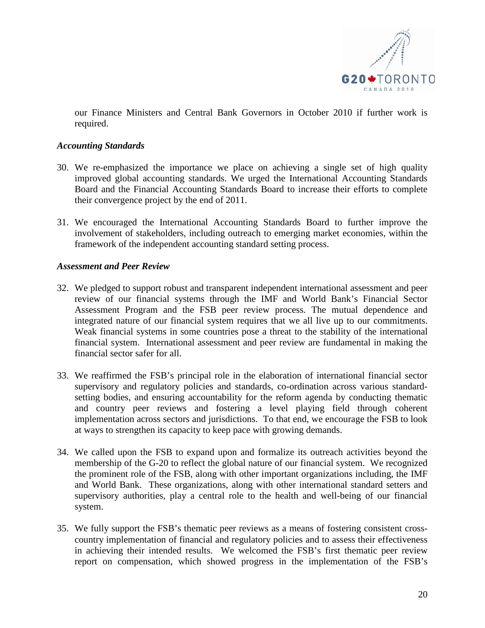

our Finance Ministers and Central Bank Governors in October 2010 if further work is required.

### *Accounting Standards*

- 30. We re-emphasized the importance we place on achieving a single set of high quality improved global accounting standards. We urged the International Accounting Standards Board and the Financial Accounting Standards Board to increase their efforts to complete their convergence project by the end of 2011.
- 31. We encouraged the International Accounting Standards Board to further improve the involvement of stakeholders, including outreach to emerging market economies, within the framework of the independent accounting standard setting process.

### *Assessment and Peer Review*

- 32. We pledged to support robust and transparent independent international assessment and peer review of our financial systems through the IMF and World Bank's Financial Sector Assessment Program and the FSB peer review process. The mutual dependence and integrated nature of our financial system requires that we all live up to our commitments. Weak financial systems in some countries pose a threat to the stability of the international financial system. International assessment and peer review are fundamental in making the financial sector safer for all.
- 33. We reaffirmed the FSB's principal role in the elaboration of international financial sector supervisory and regulatory policies and standards, co-ordination across various standardsetting bodies, and ensuring accountability for the reform agenda by conducting thematic and country peer reviews and fostering a level playing field through coherent implementation across sectors and jurisdictions. To that end, we encourage the FSB to look at ways to strengthen its capacity to keep pace with growing demands.
- 34. We called upon the FSB to expand upon and formalize its outreach activities beyond the membership of the G-20 to reflect the global nature of our financial system. We recognized the prominent role of the FSB, along with other important organizations including, the IMF and World Bank. These organizations, along with other international standard setters and supervisory authorities, play a central role to the health and well-being of our financial system.
- 35. We fully support the FSB's thematic peer reviews as a means of fostering consistent crosscountry implementation of financial and regulatory policies and to assess their effectiveness in achieving their intended results. We welcomed the FSB's first thematic peer review report on compensation, which showed progress in the implementation of the FSB's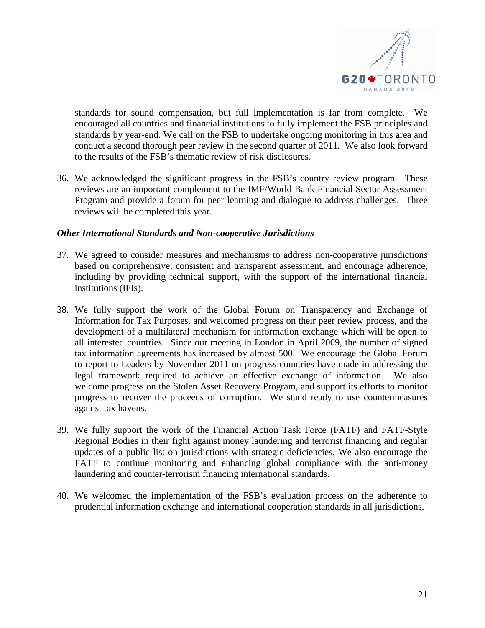

standards for sound compensation, but full implementation is far from complete. We encouraged all countries and financial institutions to fully implement the FSB principles and standards by year-end. We call on the FSB to undertake ongoing monitoring in this area and conduct a second thorough peer review in the second quarter of 2011. We also look forward to the results of the FSB's thematic review of risk disclosures.

36. We acknowledged the significant progress in the FSB's country review program. These reviews are an important complement to the IMF/World Bank Financial Sector Assessment Program and provide a forum for peer learning and dialogue to address challenges. Three reviews will be completed this year.

#### *Other International Standards and Non-cooperative Jurisdictions*

- 37. We agreed to consider measures and mechanisms to address non-cooperative jurisdictions based on comprehensive, consistent and transparent assessment, and encourage adherence, including by providing technical support, with the support of the international financial institutions (IFIs).
- 38. We fully support the work of the Global Forum on Transparency and Exchange of Information for Tax Purposes, and welcomed progress on their peer review process, and the development of a multilateral mechanism for information exchange which will be open to all interested countries. Since our meeting in London in April 2009, the number of signed tax information agreements has increased by almost 500. We encourage the Global Forum to report to Leaders by November 2011 on progress countries have made in addressing the legal framework required to achieve an effective exchange of information. We also welcome progress on the Stolen Asset Recovery Program, and support its efforts to monitor progress to recover the proceeds of corruption. We stand ready to use countermeasures against tax havens.
- 39. We fully support the work of the Financial Action Task Force (FATF) and FATF-Style Regional Bodies in their fight against money laundering and terrorist financing and regular updates of a public list on jurisdictions with strategic deficiencies. We also encourage the FATF to continue monitoring and enhancing global compliance with the anti-money laundering and counter-terrorism financing international standards.
- 40. We welcomed the implementation of the FSB's evaluation process on the adherence to prudential information exchange and international cooperation standards in all jurisdictions.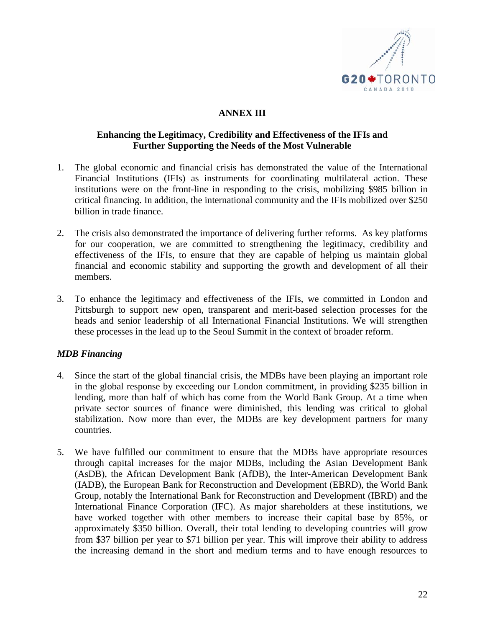

## **ANNEX III**

## **Enhancing the Legitimacy, Credibility and Effectiveness of the IFIs and Further Supporting the Needs of the Most Vulnerable**

- 1. The global economic and financial crisis has demonstrated the value of the International Financial Institutions (IFIs) as instruments for coordinating multilateral action. These institutions were on the front-line in responding to the crisis, mobilizing \$985 billion in critical financing. In addition, the international community and the IFIs mobilized over \$250 billion in trade finance.
- 2. The crisis also demonstrated the importance of delivering further reforms. As key platforms for our cooperation, we are committed to strengthening the legitimacy, credibility and effectiveness of the IFIs, to ensure that they are capable of helping us maintain global financial and economic stability and supporting the growth and development of all their members.
- 3. To enhance the legitimacy and effectiveness of the IFIs, we committed in London and Pittsburgh to support new open, transparent and merit-based selection processes for the heads and senior leadership of all International Financial Institutions. We will strengthen these processes in the lead up to the Seoul Summit in the context of broader reform.

### *MDB Financing*

- 4. Since the start of the global financial crisis, the MDBs have been playing an important role in the global response by exceeding our London commitment, in providing \$235 billion in lending, more than half of which has come from the World Bank Group. At a time when private sector sources of finance were diminished, this lending was critical to global stabilization. Now more than ever, the MDBs are key development partners for many countries.
- 5. We have fulfilled our commitment to ensure that the MDBs have appropriate resources through capital increases for the major MDBs, including the Asian Development Bank (AsDB), the African Development Bank (AfDB), the Inter-American Development Bank (IADB), the European Bank for Reconstruction and Development (EBRD), the World Bank Group, notably the International Bank for Reconstruction and Development (IBRD) and the International Finance Corporation (IFC). As major shareholders at these institutions, we have worked together with other members to increase their capital base by 85%, or approximately \$350 billion. Overall, their total lending to developing countries will grow from \$37 billion per year to \$71 billion per year. This will improve their ability to address the increasing demand in the short and medium terms and to have enough resources to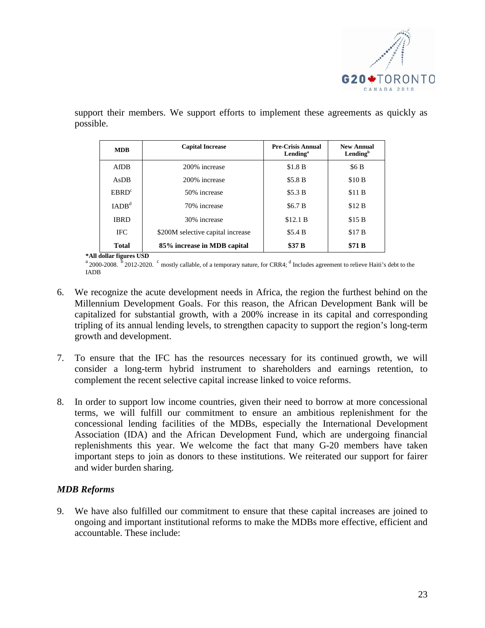

support their members. We support efforts to implement these agreements as quickly as possible.

| <b>MDB</b>        | <b>Capital Increase</b>           | <b>Pre-Crisis Annual</b><br>Lending <sup>a</sup> | <b>New Annual</b><br>Lending <sup>b</sup> |
|-------------------|-----------------------------------|--------------------------------------------------|-------------------------------------------|
| AfDB              | 200% increase                     | \$1.8 B                                          | \$6B                                      |
| AsDB              | 200% increase                     | \$5.8 B                                          | \$10 B                                    |
| EBRD <sup>c</sup> | 50% increase                      | \$5.3 B                                          | \$11B                                     |
| IADB <sup>d</sup> | 70% increase                      | \$6.7 B                                          | \$12B                                     |
| <b>IBRD</b>       | 30% increase                      | \$12.1 B                                         | \$15B                                     |
| <b>IFC</b>        | \$200M selective capital increase | \$5.4B                                           | \$17B                                     |
| <b>Total</b>      | 85% increase in MDB capital       | \$37B                                            | \$71 B                                    |

**\*All dollar figures USD**

 $a_{\text{1}}$  2000-2008.  $b_{\text{2}}$  2012-2020.  $c_{\text{2}}$  mostly callable, of a temporary nature, for CRR4;  $d_{\text{1}}$  Includes agreement to relieve Haiti's debt to the IADB

- 6. We recognize the acute development needs in Africa, the region the furthest behind on the Millennium Development Goals. For this reason, the African Development Bank will be capitalized for substantial growth, with a 200% increase in its capital and corresponding tripling of its annual lending levels, to strengthen capacity to support the region's long-term growth and development.
- 7. To ensure that the IFC has the resources necessary for its continued growth, we will consider a long-term hybrid instrument to shareholders and earnings retention, to complement the recent selective capital increase linked to voice reforms.
- 8. In order to support low income countries, given their need to borrow at more concessional terms, we will fulfill our commitment to ensure an ambitious replenishment for the concessional lending facilities of the MDBs, especially the International Development Association (IDA) and the African Development Fund, which are undergoing financial replenishments this year. We welcome the fact that many G-20 members have taken important steps to join as donors to these institutions. We reiterated our support for fairer and wider burden sharing.

# *MDB Reforms*

<span id="page-22-0"></span>9. We have also fulfilled our commitment to ensure that these capital increases are joined to ongoing and important institutional reforms to make the MDBs more effective, efficient and accountable. These include: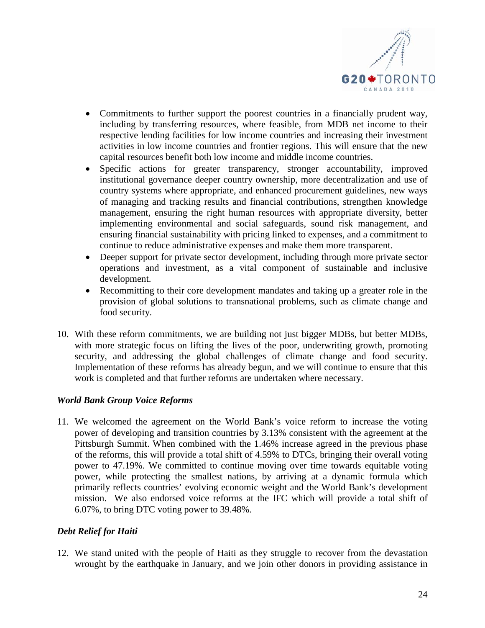

- Commitments to further support the poorest countries in a financially prudent way, including by transferring resources, where feasible, from MDB net income to their respective lending facilities for low income countries and increasing their investment activities in low income countries and frontier regions. This will ensure that the new capital resources benefit both low income and middle income countries.
- Specific actions for greater transparency, stronger accountability, improved institutional governance deeper country ownership, more decentralization and use of country systems where appropriate, and enhanced procurement guidelines, new ways of managing and tracking results and financial contributions, strengthen knowledge management, ensuring the right human resources with appropriate diversity, better implementing environmental and social safeguards, sound risk management, and ensuring financial sustainability with pricing linked to expenses, and a commitment to continue to reduce administrative expenses and make them more transparent.
- Deeper support for private sector development, including through more private sector operations and investment, as a vital component of sustainable and inclusive development.
- Recommitting to their core development mandates and taking up a greater role in the provision of global solutions to transnational problems, such as climate change and food security.
- 10. With these reform commitments, we are building not just bigger MDBs, but better MDBs, with more strategic focus on lifting the lives of the poor, underwriting growth, promoting security, and addressing the global challenges of climate change and food security. Implementation of these reforms has already begun, and we will continue to ensure that this work is completed and that further reforms are undertaken where necessary.

# *World Bank Group Voice Reforms*

11. We welcomed the agreement on the World Bank's voice reform to increase the voting power of developing and transition countries by 3.13% consistent with the agreement at the Pittsburgh Summit. When combined with the 1.46% increase agreed in the previous phase of the reforms, this will provide a total shift of 4.59% to DTCs, bringing their overall voting power to 47.19%. We committed to continue moving over time towards equitable voting power, while protecting the smallest nations, by arriving at a dynamic formula which primarily reflects countries' evolving economic weight and the World Bank's development mission. We also endorsed voice reforms at the IFC which will provide a total shift of 6.07%, to bring DTC voting power to 39.48%.

# *Debt Relief for Haiti*

12. We stand united with the people of Haiti as they struggle to recover from the devastation wrought by the earthquake in January, and we join other donors in providing assistance in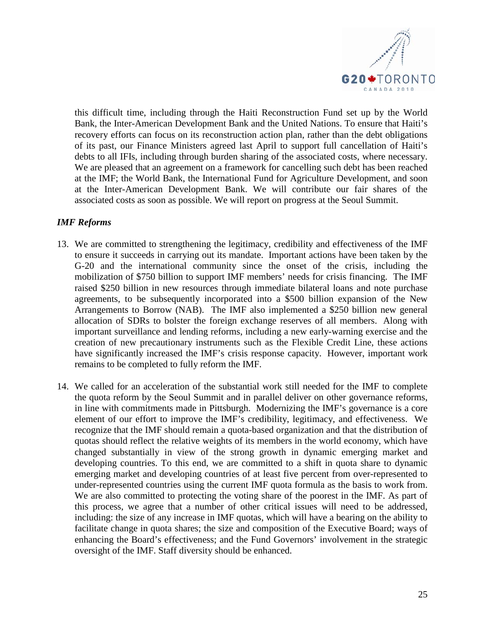

this difficult time, including through the Haiti Reconstruction Fund set up by the World Bank, the Inter-American Development Bank and the United Nations. To ensure that Haiti's recovery efforts can focus on its reconstruction action plan, rather than the debt obligations of its past, our Finance Ministers agreed last April to support full cancellation of Haiti's debts to all IFIs, including through burden sharing of the associated costs, where necessary. We are pleased that an agreement on a framework for cancelling such debt has been reached at the IMF; the World Bank, the International Fund for Agriculture Development, and soon at the Inter-American Development Bank. We will contribute our fair shares of the associated costs as soon as possible. We will report on progress at the Seoul Summit.

# *IMF Reforms*

- 13. We are committed to strengthening the legitimacy, credibility and effectiveness of the IMF to ensure it succeeds in carrying out its mandate. Important actions have been taken by the G-20 and the international community since the onset of the crisis, including the mobilization of \$750 billion to support IMF members' needs for crisis financing. The IMF raised \$250 billion in new resources through immediate bilateral loans and note purchase agreements, to be subsequently incorporated into a \$500 billion expansion of the New Arrangements to Borrow (NAB). The IMF also implemented a \$250 billion new general allocation of SDRs to bolster the foreign exchange reserves of all members. Along with important surveillance and lending reforms, including a new early-warning exercise and the creation of new precautionary instruments such as the Flexible Credit Line, these actions have significantly increased the IMF's crisis response capacity. However, important work remains to be completed to fully reform the IMF.
- 14. We called for an acceleration of the substantial work still needed for the IMF to complete the quota reform by the Seoul Summit and in parallel deliver on other governance reforms, in line with commitments made in Pittsburgh. Modernizing the IMF's governance is a core element of our effort to improve the IMF's credibility, legitimacy, and effectiveness. We recognize that the IMF should remain a quota-based organization and that the distribution of quotas should reflect the relative weights of its members in the world economy, which have changed substantially in view of the strong growth in dynamic emerging market and developing countries. To this end, we are committed to a shift in quota share to dynamic emerging market and developing countries of at least five percent from over-represented to under-represented countries using the current IMF quota formula as the basis to work from. We are also committed to protecting the voting share of the poorest in the IMF. As part of this process, we agree that a number of other critical issues will need to be addressed, including: the size of any increase in IMF quotas, which will have a bearing on the ability to facilitate change in quota shares; the size and composition of the Executive Board; ways of enhancing the Board's effectiveness; and the Fund Governors' involvement in the strategic oversight of the IMF. Staff diversity should be enhanced.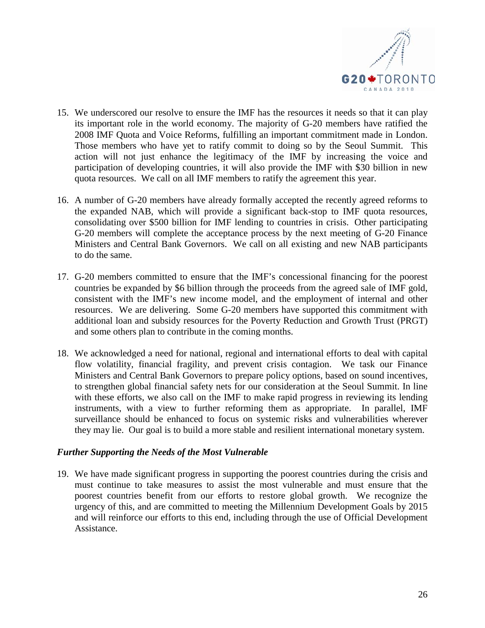

- 15. We underscored our resolve to ensure the IMF has the resources it needs so that it can play its important role in the world economy. The majority of G-20 members have ratified the 2008 IMF Quota and Voice Reforms, fulfilling an important commitment made in London. Those members who have yet to ratify commit to doing so by the Seoul Summit. This action will not just enhance the legitimacy of the IMF by increasing the voice and participation of developing countries, it will also provide the IMF with \$30 billion in new quota resources. We call on all IMF members to ratify the agreement this year.
- 16. A number of G-20 members have already formally accepted the recently agreed reforms to the expanded NAB, which will provide a significant back-stop to IMF quota resources, consolidating over \$500 billion for IMF lending to countries in crisis. Other participating G-20 members will complete the acceptance process by the next meeting of G-20 Finance Ministers and Central Bank Governors. We call on all existing and new NAB participants to do the same.
- 17. G-20 members committed to ensure that the IMF's concessional financing for the poorest countries be expanded by \$6 billion through the proceeds from the agreed sale of IMF gold, consistent with the IMF's new income model, and the employment of internal and other resources. We are delivering. Some G-20 members have supported this commitment with additional loan and subsidy resources for the Poverty Reduction and Growth Trust (PRGT) and some others plan to contribute in the coming months.
- 18. We acknowledged a need for national, regional and international efforts to deal with capital flow volatility, financial fragility, and prevent crisis contagion. We task our Finance Ministers and Central Bank Governors to prepare policy options, based on sound incentives, to strengthen global financial safety nets for our consideration at the Seoul Summit. In line with these efforts, we also call on the IMF to make rapid progress in reviewing its lending instruments, with a view to further reforming them as appropriate. In parallel, IMF surveillance should be enhanced to focus on systemic risks and vulnerabilities wherever they may lie. Our goal is to build a more stable and resilient international monetary system.

### *Further Supporting the Needs of the Most Vulnerable*

19. We have made significant progress in supporting the poorest countries during the crisis and must continue to take measures to assist the most vulnerable and must ensure that the poorest countries benefit from our efforts to restore global growth. We recognize the urgency of this, and are committed to meeting the Millennium Development Goals by 2015 and will reinforce our efforts to this end, including through the use of Official Development Assistance.